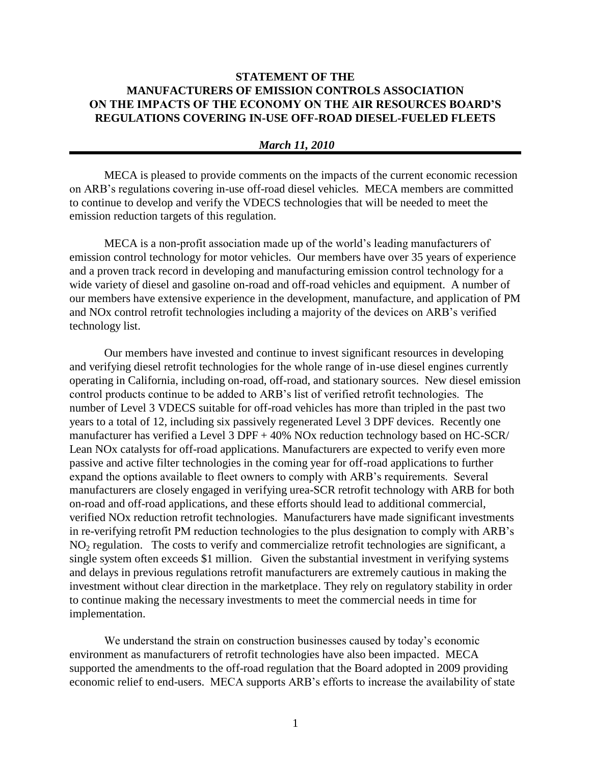## **STATEMENT OF THE MANUFACTURERS OF EMISSION CONTROLS ASSOCIATION ON THE IMPACTS OF THE ECONOMY ON THE AIR RESOURCES BOARD'S REGULATIONS COVERING IN-USE OFF-ROAD DIESEL-FUELED FLEETS**

## *March 11, 2010*

MECA is pleased to provide comments on the impacts of the current economic recession on ARB's regulations covering in-use off-road diesel vehicles. MECA members are committed to continue to develop and verify the VDECS technologies that will be needed to meet the emission reduction targets of this regulation.

MECA is a non-profit association made up of the world's leading manufacturers of emission control technology for motor vehicles. Our members have over 35 years of experience and a proven track record in developing and manufacturing emission control technology for a wide variety of diesel and gasoline on-road and off-road vehicles and equipment. A number of our members have extensive experience in the development, manufacture, and application of PM and NOx control retrofit technologies including a majority of the devices on ARB's verified technology list.

Our members have invested and continue to invest significant resources in developing and verifying diesel retrofit technologies for the whole range of in-use diesel engines currently operating in California, including on-road, off-road, and stationary sources. New diesel emission control products continue to be added to ARB's list of verified retrofit technologies. The number of Level 3 VDECS suitable for off-road vehicles has more than tripled in the past two years to a total of 12, including six passively regenerated Level 3 DPF devices. Recently one manufacturer has verified a Level 3 DPF + 40% NOx reduction technology based on HC-SCR/ Lean NOx catalysts for off-road applications. Manufacturers are expected to verify even more passive and active filter technologies in the coming year for off-road applications to further expand the options available to fleet owners to comply with ARB's requirements. Several manufacturers are closely engaged in verifying urea-SCR retrofit technology with ARB for both on-road and off-road applications, and these efforts should lead to additional commercial, verified NOx reduction retrofit technologies. Manufacturers have made significant investments in re-verifying retrofit PM reduction technologies to the plus designation to comply with ARB's  $NO<sub>2</sub>$  regulation. The costs to verify and commercialize retrofit technologies are significant, a single system often exceeds \$1 million. Given the substantial investment in verifying systems and delays in previous regulations retrofit manufacturers are extremely cautious in making the investment without clear direction in the marketplace. They rely on regulatory stability in order to continue making the necessary investments to meet the commercial needs in time for implementation.

We understand the strain on construction businesses caused by today's economic environment as manufacturers of retrofit technologies have also been impacted. MECA supported the amendments to the off-road regulation that the Board adopted in 2009 providing economic relief to end-users. MECA supports ARB's efforts to increase the availability of state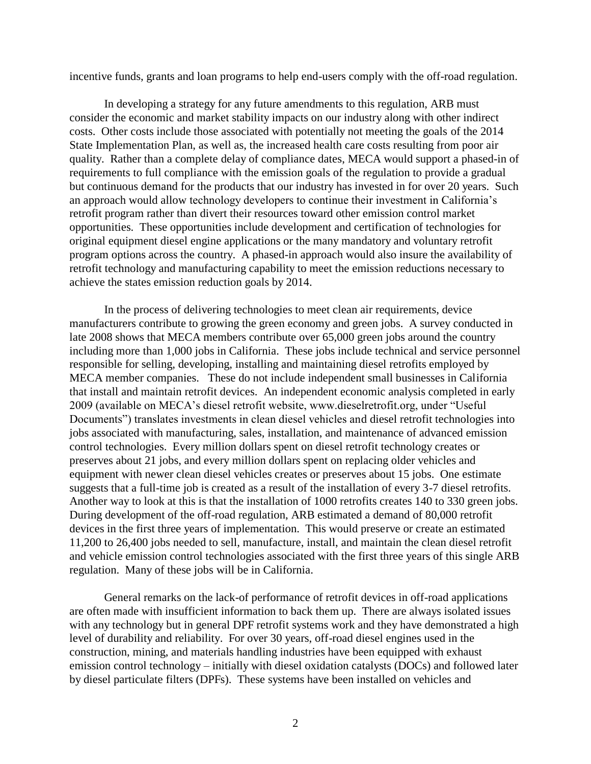incentive funds, grants and loan programs to help end-users comply with the off-road regulation.

In developing a strategy for any future amendments to this regulation, ARB must consider the economic and market stability impacts on our industry along with other indirect costs. Other costs include those associated with potentially not meeting the goals of the 2014 State Implementation Plan, as well as, the increased health care costs resulting from poor air quality. Rather than a complete delay of compliance dates, MECA would support a phased-in of requirements to full compliance with the emission goals of the regulation to provide a gradual but continuous demand for the products that our industry has invested in for over 20 years. Such an approach would allow technology developers to continue their investment in California's retrofit program rather than divert their resources toward other emission control market opportunities. These opportunities include development and certification of technologies for original equipment diesel engine applications or the many mandatory and voluntary retrofit program options across the country. A phased-in approach would also insure the availability of retrofit technology and manufacturing capability to meet the emission reductions necessary to achieve the states emission reduction goals by 2014.

In the process of delivering technologies to meet clean air requirements, device manufacturers contribute to growing the green economy and green jobs. A survey conducted in late 2008 shows that MECA members contribute over 65,000 green jobs around the country including more than 1,000 jobs in California. These jobs include technical and service personnel responsible for selling, developing, installing and maintaining diesel retrofits employed by MECA member companies. These do not include independent small businesses in California that install and maintain retrofit devices. An independent economic analysis completed in early 2009 (available on MECA's diesel retrofit website, www.dieselretrofit.org, under "Useful Documents") translates investments in clean diesel vehicles and diesel retrofit technologies into jobs associated with manufacturing, sales, installation, and maintenance of advanced emission control technologies. Every million dollars spent on diesel retrofit technology creates or preserves about 21 jobs, and every million dollars spent on replacing older vehicles and equipment with newer clean diesel vehicles creates or preserves about 15 jobs. One estimate suggests that a full-time job is created as a result of the installation of every 3-7 diesel retrofits. Another way to look at this is that the installation of 1000 retrofits creates 140 to 330 green jobs. During development of the off-road regulation, ARB estimated a demand of 80,000 retrofit devices in the first three years of implementation. This would preserve or create an estimated 11,200 to 26,400 jobs needed to sell, manufacture, install, and maintain the clean diesel retrofit and vehicle emission control technologies associated with the first three years of this single ARB regulation. Many of these jobs will be in California.

General remarks on the lack-of performance of retrofit devices in off-road applications are often made with insufficient information to back them up. There are always isolated issues with any technology but in general DPF retrofit systems work and they have demonstrated a high level of durability and reliability. For over 30 years, off-road diesel engines used in the construction, mining, and materials handling industries have been equipped with exhaust emission control technology – initially with diesel oxidation catalysts (DOCs) and followed later by diesel particulate filters (DPFs). These systems have been installed on vehicles and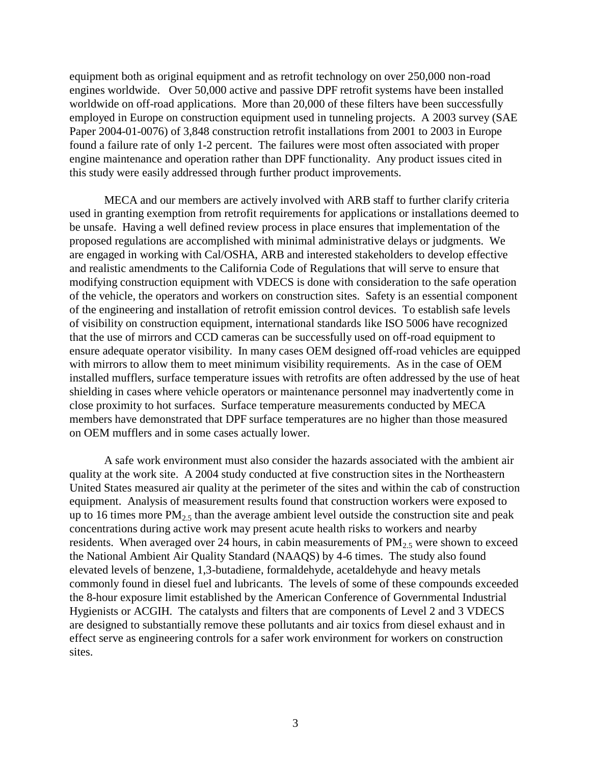equipment both as original equipment and as retrofit technology on over 250,000 non-road engines worldwide. Over 50,000 active and passive DPF retrofit systems have been installed worldwide on off-road applications. More than 20,000 of these filters have been successfully employed in Europe on construction equipment used in tunneling projects. A 2003 survey (SAE Paper 2004-01-0076) of 3,848 construction retrofit installations from 2001 to 2003 in Europe found a failure rate of only 1-2 percent. The failures were most often associated with proper engine maintenance and operation rather than DPF functionality. Any product issues cited in this study were easily addressed through further product improvements.

MECA and our members are actively involved with ARB staff to further clarify criteria used in granting exemption from retrofit requirements for applications or installations deemed to be unsafe. Having a well defined review process in place ensures that implementation of the proposed regulations are accomplished with minimal administrative delays or judgments. We are engaged in working with Cal/OSHA, ARB and interested stakeholders to develop effective and realistic amendments to the California Code of Regulations that will serve to ensure that modifying construction equipment with VDECS is done with consideration to the safe operation of the vehicle, the operators and workers on construction sites. Safety is an essential component of the engineering and installation of retrofit emission control devices. To establish safe levels of visibility on construction equipment, international standards like ISO 5006 have recognized that the use of mirrors and CCD cameras can be successfully used on off-road equipment to ensure adequate operator visibility. In many cases OEM designed off-road vehicles are equipped with mirrors to allow them to meet minimum visibility requirements. As in the case of OEM installed mufflers, surface temperature issues with retrofits are often addressed by the use of heat shielding in cases where vehicle operators or maintenance personnel may inadvertently come in close proximity to hot surfaces. Surface temperature measurements conducted by MECA members have demonstrated that DPF surface temperatures are no higher than those measured on OEM mufflers and in some cases actually lower.

A safe work environment must also consider the hazards associated with the ambient air quality at the work site. A 2004 study conducted at five construction sites in the Northeastern United States measured air quality at the perimeter of the sites and within the cab of construction equipment. Analysis of measurement results found that construction workers were exposed to up to 16 times more  $PM<sub>2.5</sub>$  than the average ambient level outside the construction site and peak concentrations during active work may present acute health risks to workers and nearby residents. When averaged over 24 hours, in cabin measurements of  $PM<sub>2.5</sub>$  were shown to exceed the National Ambient Air Quality Standard (NAAQS) by 4-6 times. The study also found elevated levels of benzene, 1,3-butadiene, formaldehyde, acetaldehyde and heavy metals commonly found in diesel fuel and lubricants. The levels of some of these compounds exceeded the 8-hour exposure limit established by the American Conference of Governmental Industrial Hygienists or ACGIH. The catalysts and filters that are components of Level 2 and 3 VDECS are designed to substantially remove these pollutants and air toxics from diesel exhaust and in effect serve as engineering controls for a safer work environment for workers on construction sites.